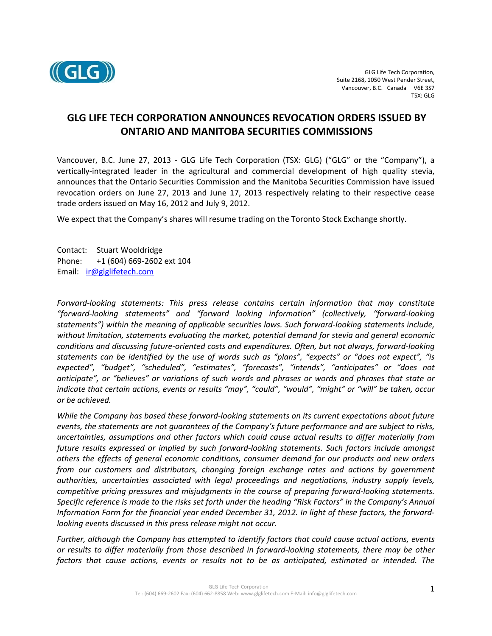

## **GLG LIFE TECH CORPORATION ANNOUNCES REVOCATION ORDERS ISSUED BY ONTARIO AND MANITOBA SECURITIES COMMISSIONS**

Vancouver, B.C. June 27, 2013 ‐ GLG Life Tech Corporation (TSX: GLG) ("GLG" or the "Company"), a vertically‐integrated leader in the agricultural and commercial development of high quality stevia, announces that the Ontario Securities Commission and the Manitoba Securities Commission have issued revocation orders on June 27, 2013 and June 17, 2013 respectively relating to their respective cease trade orders issued on May 16, 2012 and July 9, 2012.

We expect that the Company's shares will resume trading on the Toronto Stock Exchange shortly.

Contact: Stuart Wooldridge Phone: +1 (604) 669‐2602 ext 104 Email: ir@glglifetech.com

*Forward‐looking statements: This press release contains certain information that may constitute "forward‐looking statements" and "forward looking information" (collectively, "forward‐looking statements") within the meaning of applicable securities laws. Such forward‐looking statements include, without limitation, statements evaluating the market, potential demand for stevia and general economic conditions and discussing future‐oriented costs and expenditures. Often, but not always, forward‐looking statements can be identified by the use of words such as "plans", "expects" or "does not expect", "is expected", "budget", "scheduled", "estimates", "forecasts", "intends", "anticipates" or "does not anticipate", or "believes" or variations of such words and phrases or words and phrases that state or indicate that certain actions, events or results "may", "could", "would", "might" or "will" be taken, occur or be achieved.* 

*While the Company has based these forward‐looking statements on its current expectations about future events, the statements are not guarantees of the Company's future performance and are subject to risks, uncertainties, assumptions and other factors which could cause actual results to differ materially from future results expressed or implied by such forward‐looking statements. Such factors include amongst others the effects of general economic conditions, consumer demand for our products and new orders from our customers and distributors, changing foreign exchange rates and actions by government authorities, uncertainties associated with legal proceedings and negotiations, industry supply levels, competitive pricing pressures and misjudgments in the course of preparing forward‐looking statements. Specific reference is made to the risks set forth under the heading "Risk Factors" in the Company's Annual Information Form for the financial year ended December 31, 2012. In light of these factors, the forward‐ looking events discussed in this press release might not occur.* 

*Further, although the Company has attempted to identify factors that could cause actual actions, events or results to differ materially from those described in forward‐looking statements, there may be other*  factors that cause actions, events or results not to be as anticipated, estimated or intended. The